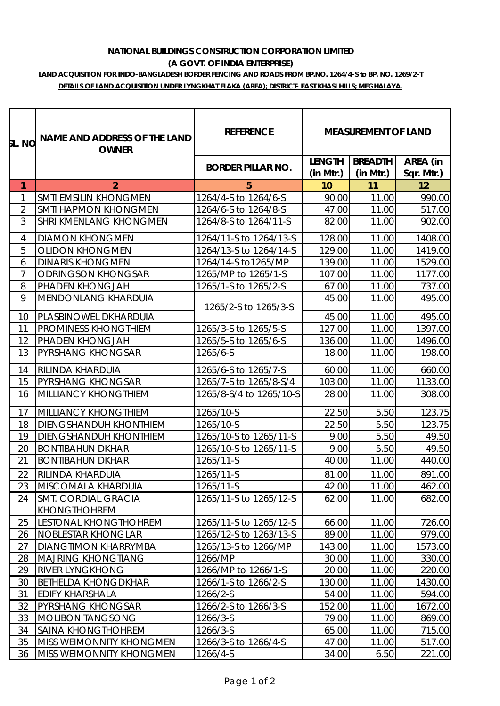## **NATIONAL BUILDINGS CONSTRUCTION CORPORATION LIMITED (A GOVT. OF INDIA ENTERPRISE)**

## **LAND ACQUISITION FOR INDO-BANGLADESH BORDER FENCING AND ROADS FROM BP.NO. 1264/4-S to BP. NO. 1269/2-T DETAILS OF LAND ACQUISITION UNDER LYNGKHAT ELAKA (AREA); DISTRICT- EAST KHASI HILLS; MEGHALAYA.**

| SL. NO         | NAME AND ADDRESS OF THE LAND<br><b>OWNER</b> | <b>REFERENCE</b>         | <b>MEASUREMENT OF LAND</b> |                |            |
|----------------|----------------------------------------------|--------------------------|----------------------------|----------------|------------|
|                |                                              | <b>BORDER PILLAR NO.</b> | <b>LENGTH</b>              | <b>BREADTH</b> | AREA (in   |
|                |                                              |                          | (in Mtr.)                  | (in Mtr.)      | Sqr. Mtr.) |
| $\mathbf{1}$   | $\overline{2}$                               | 5                        | 10                         | 11             | 12         |
| 1              | <b>SMTI EMSILIN KHONGMEN</b>                 | 1264/4-S to 1264/6-S     | 90.00                      | 11.00          | 990.00     |
| $\overline{2}$ | <b>SMTI HAPMON KHONGMEN</b>                  | 1264/6-S to 1264/8-S     | 47.00                      | 11.00          | 517.00     |
| 3              | <b>SHRI KMENLANG KHONGMEN</b>                | 1264/8-S to 1264/11-S    | 82.00                      | 11.00          | 902.00     |
| $\overline{4}$ | <b>DIAMON KHONGMEN</b>                       | 1264/11-S to 1264/13-S   | 128.00                     | 11.00          | 1408.00    |
| 5              | <b>OLIDON KHONGMEN</b>                       | 1264/13-S to 1264/14-S   | 129.00                     | 11.00          | 1419.00    |
| 6              | <b>DINARIS KHONGMEN</b>                      | 1264/14-S to1265/MP      | 139.00                     | 11.00          | 1529.00    |
| $\overline{7}$ | <b>ODRINGSON KHONGSAR</b>                    | 1265/MP to 1265/1-S      | 107.00                     | 11.00          | 1177.00    |
| 8              | PHADEN KHONGJAH                              | 1265/1-S to 1265/2-S     | 67.00                      | 11.00          | 737.00     |
| 9              | MENDONLANG KHARDUIA                          | 1265/2-S to 1265/3-S     | 45.00                      | 11.00          | 495.00     |
| 10             | PLASBINOWEL DKHARDUIA                        |                          | 45.00                      | 11.00          | 495.00     |
| 11             | PROMINESS KHONGTHIEM                         | 1265/3-S to 1265/5-S     | 127.00                     | 11.00          | 1397.00    |
| 12             | PHADEN KHONGJAH                              | 1265/5-S to 1265/6-S     | 136.00                     | 11.00          | 1496.00    |
| 13             | PYRSHANG KHONGSAR                            | 1265/6-S                 | 18.00                      | 11.00          | 198.00     |
| 14             | RILINDA KHARDUIA                             | 1265/6-S to 1265/7-S     | 60.00                      | 11.00          | 660.00     |
| 15             | PYRSHANG KHONGSAR                            | 1265/7-S to 1265/8-S/4   | 103.00                     | 11.00          | 1133.00    |
| 16             | MILLIANCY KHONGTHIEM                         | 1265/8-S/4 to 1265/10-S  | 28.00                      | 11.00          | 308.00     |
| 17             | MILLIANCY KHONGTHIEM                         | 1265/10-S                | 22.50                      | 5.50           | 123.75     |
| 18             | DIENGSHANDUH KHONTHIEM                       | 1265/10-S                | 22.50                      | 5.50           | 123.75     |
| 19             | <b>DIENGSHANDUH KHONTHIEM</b>                | 1265/10-S to 1265/11-S   | 9.00                       | 5.50           | 49.50      |
| 20             | <b>BONTIBAHUN DKHAR</b>                      | 1265/10-S to 1265/11-S   | 9.00                       | 5.50           | 49.50      |
| 21             | <b>BONTIBAHUN DKHAR</b>                      | 1265/11-S                | 40.00                      | 11.00          | 440.00     |
| 22             | <b>RILINDA KHARDUIA</b>                      | 1265/11-S                | 81.00                      | 11.00          | 891.00     |
| 23             | MISCOMALA KHARDUIA                           | 1265/11-S                | 42.00                      | 11.00          | 462.00     |
| 24             | <b>SMT. CORDIAL GRACIA</b>                   | 1265/11-S to 1265/12-S   | 62.00                      | 11.00          | 682.00     |
|                | <b>KHONGTHOHREM</b>                          |                          |                            |                |            |
| 25             | <b>LESTONAL KHONGTHOHREM</b>                 | 1265/11-S to 1265/12-S   | 66.00                      | 11.00          | 726.00     |
| 26             | <b>NOBLESTAR KHONGLAR</b>                    | 1265/12-S to 1263/13-S   | 89.00                      | 11.00          | 979.00     |
| 27             | DIANGTIMON KHARRYMBA                         | 1265/13-S to 1266/MP     | 143.00                     | 11.00          | 1573.00    |
| 28             | <b>MAJRING KHONGTIANG</b>                    | 1266/MP                  | 30.00                      | 11.00          | 330.00     |
| 29             | RIVER LYNGKHONG                              | 1266/MP to 1266/1-S      | 20.00                      | 11.00          | 220.00     |
| 30             | <b>BETHELDA KHONGDKHAR</b>                   | 1266/1-S to 1266/2-S     | 130.00                     | 11.00          | 1430.00    |
| 31             | EDIFY KHARSHALA                              | 1266/2-S                 | 54.00                      | 11.00          | 594.00     |
| 32             | PYRSHANG KHONGSAR                            | 1266/2-S to 1266/3-S     | 152.00                     | 11.00          | 1672.00    |
| 33             | <b>MOLIBON TANGSONG</b>                      | 1266/3-S                 | 79.00                      | 11.00          | 869.00     |
| 34             | SAINA KHONGTHOHREM                           | 1266/3-S                 | 65.00                      | 11.00          | 715.00     |
| 35             | MISS WEIMONNITY KHONGMEN                     | 1266/3-S to 1266/4-S     | 47.00                      | 11.00          | 517.00     |
| 36             | MISS WEIMONNITY KHONGMEN                     | 1266/4-S                 | 34.00                      | 6.50           | 221.00     |